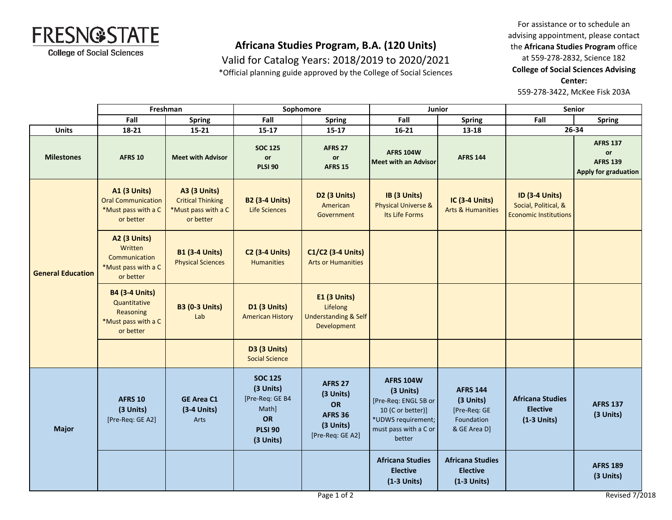

Valid for Catalog Years: 2018/2019 to 2020/2021

\*Official planning guide approved by the College of Social Sciences

For assistance or to schedule an advising appointment, please contact the **Africana Studies Program** office at 559-278-2832, Science 182 **College of Social Sciences Advising Center:**  559-278-3422, McKee Fisk 203A

|                          | Freshman                                                                               |                                                                                     | Sophomore                                                                                    |                                                                               | Junior                                                                                                                              |                                                                            | <b>Senior</b>                                                                 |                                                                  |
|--------------------------|----------------------------------------------------------------------------------------|-------------------------------------------------------------------------------------|----------------------------------------------------------------------------------------------|-------------------------------------------------------------------------------|-------------------------------------------------------------------------------------------------------------------------------------|----------------------------------------------------------------------------|-------------------------------------------------------------------------------|------------------------------------------------------------------|
|                          | Fall                                                                                   | <b>Spring</b>                                                                       | Fall                                                                                         | <b>Spring</b>                                                                 | Fall                                                                                                                                | <b>Spring</b>                                                              | Fall                                                                          | <b>Spring</b>                                                    |
| <b>Units</b>             | 18-21                                                                                  | $15 - 21$                                                                           | $15 - 17$                                                                                    | $15 - 17$                                                                     | $16 - 21$                                                                                                                           | 13-18                                                                      |                                                                               | 26-34                                                            |
| <b>Milestones</b>        | <b>AFRS 10</b>                                                                         | <b>Meet with Advisor</b>                                                            | <b>SOC 125</b><br>or<br><b>PLSI 90</b>                                                       | <b>AFRS 27</b><br>$\mathop{\mathsf{or}}$<br><b>AFRS 15</b>                    | <b>AFRS 104W</b><br><b>Meet with an Advisor</b>                                                                                     | <b>AFRS 144</b>                                                            |                                                                               | <b>AFRS 137</b><br>or<br><b>AFRS 139</b><br>Apply for graduation |
| <b>General Education</b> | <b>A1 (3 Units)</b><br><b>Oral Communication</b><br>*Must pass with a C<br>or better   | <b>A3 (3 Units)</b><br><b>Critical Thinking</b><br>*Must pass with a C<br>or better | <b>B2 (3-4 Units)</b><br>Life Sciences                                                       | D2 (3 Units)<br>American<br>Government                                        | IB (3 Units)<br><b>Physical Universe &amp;</b><br>Its Life Forms                                                                    | IC (3-4 Units)<br><b>Arts &amp; Humanities</b>                             | <b>ID (3-4 Units)</b><br>Social, Political, &<br><b>Economic Institutions</b> |                                                                  |
|                          | <b>A2 (3 Units)</b><br>Written<br>Communication<br>*Must pass with a C<br>or better    | <b>B1 (3-4 Units)</b><br><b>Physical Sciences</b>                                   | <b>C2 (3-4 Units)</b><br><b>Humanities</b>                                                   | C1/C2 (3-4 Units)<br><b>Arts or Humanities</b>                                |                                                                                                                                     |                                                                            |                                                                               |                                                                  |
|                          | <b>B4 (3-4 Units)</b><br>Quantitative<br>Reasoning<br>*Must pass with a C<br>or better | <b>B3 (0-3 Units)</b><br>Lab                                                        | D1 (3 Units)<br><b>American History</b>                                                      | E1 (3 Units)<br>Lifelong<br><b>Understanding &amp; Self</b><br>Development    |                                                                                                                                     |                                                                            |                                                                               |                                                                  |
|                          |                                                                                        |                                                                                     | <b>D3 (3 Units)</b><br><b>Social Science</b>                                                 |                                                                               |                                                                                                                                     |                                                                            |                                                                               |                                                                  |
| <b>Major</b>             | <b>AFRS 10</b><br>(3 Units)<br>[Pre-Req: GE A2]                                        | <b>GE Area C1</b><br>$(3-4$ Units)<br>Arts                                          | <b>SOC 125</b><br>(3 Units)<br>[Pre-Req: GE B4<br>Math]<br>OR<br><b>PLSI 90</b><br>(3 Units) | AFRS 27<br>(3 Units)<br>OR<br><b>AFRS 36</b><br>(3 Units)<br>[Pre-Req: GE A2] | <b>AFRS 104W</b><br>(3 Units)<br>[Pre-Req: ENGL 5B or<br>10 (C or better)]<br>*UDWS requirement;<br>must pass with a C or<br>better | <b>AFRS 144</b><br>(3 Units)<br>[Pre-Req: GE<br>Foundation<br>& GE Area D] | <b>Africana Studies</b><br><b>Elective</b><br>$(1-3$ Units)                   | <b>AFRS 137</b><br>(3 Units)                                     |
|                          |                                                                                        |                                                                                     |                                                                                              |                                                                               | <b>Africana Studies</b><br><b>Elective</b><br>$(1-3$ Units)                                                                         | <b>Africana Studies</b><br><b>Elective</b><br>$(1-3$ Units)                |                                                                               | <b>AFRS 189</b><br>(3 Units)                                     |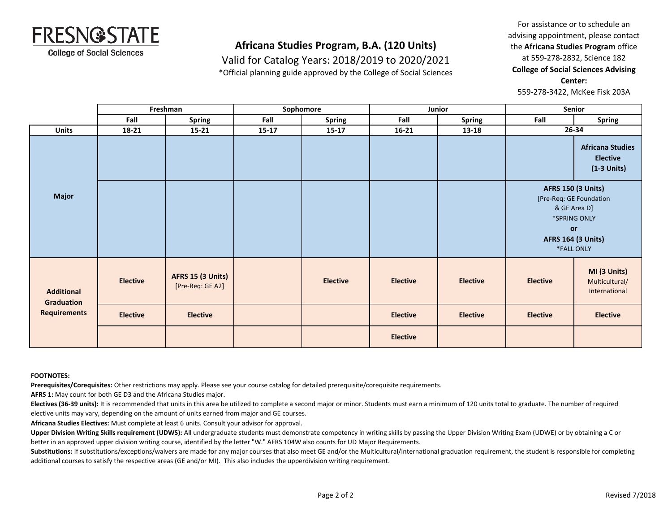

Valid for Catalog Years: 2018/2019 to 2020/2021

\*Official planning guide approved by the College of Social Sciences

For assistance or to schedule an advising appointment, please contact the **Africana Studies Program** office at 559-278-2832, Science 182 **College of Social Sciences Advising Center:**  559-278-3422, McKee Fisk 203A

|                                                        | Freshman        |                                       |       | Sophomore       |                 | Junior          | Senior                                                                                                                                |                                                             |
|--------------------------------------------------------|-----------------|---------------------------------------|-------|-----------------|-----------------|-----------------|---------------------------------------------------------------------------------------------------------------------------------------|-------------------------------------------------------------|
|                                                        | Fall            | <b>Spring</b>                         | Fall  | <b>Spring</b>   | Fall            | <b>Spring</b>   | Fall                                                                                                                                  | <b>Spring</b>                                               |
| <b>Units</b>                                           | 18-21           | $15 - 21$                             | 15-17 | $15 - 17$       | $16 - 21$       | 13-18           |                                                                                                                                       | 26-34                                                       |
| <b>Major</b>                                           |                 |                                       |       |                 |                 |                 |                                                                                                                                       | <b>Africana Studies</b><br><b>Elective</b><br>$(1-3$ Units) |
|                                                        |                 |                                       |       |                 |                 |                 | <b>AFRS 150 (3 Units)</b><br>[Pre-Req: GE Foundation<br>& GE Area D]<br>*SPRING ONLY<br>or<br><b>AFRS 164 (3 Units)</b><br>*FALL ONLY |                                                             |
| <b>Additional</b><br>Graduation<br><b>Requirements</b> | <b>Elective</b> | AFRS 15 (3 Units)<br>[Pre-Req: GE A2] |       | <b>Elective</b> | <b>Elective</b> | <b>Elective</b> | <b>Elective</b>                                                                                                                       | MI (3 Units)<br>Multicultural/<br>International             |
|                                                        | <b>Elective</b> | <b>Elective</b>                       |       |                 | <b>Elective</b> | <b>Elective</b> | <b>Elective</b>                                                                                                                       | <b>Elective</b>                                             |
|                                                        |                 |                                       |       |                 | <b>Elective</b> |                 |                                                                                                                                       |                                                             |

#### **FOOTNOTES:**

**Prerequisites/Corequisites:** Other restrictions may apply. Please see your course catalog for detailed prerequisite/corequisite requirements.

**AFRS 1:** May count for both GE D3 and the Africana Studies major.

Electives (36-39 units): It is recommended that units in this area be utilized to complete a second major or minor. Students must earn a minimum of 120 units total to graduate. The number of required elective units may vary, depending on the amount of units earned from major and GE courses.

**Africana Studies Electives:** Must complete at least 6 units. Consult your advisor for approval.

Upper Division Writing Skills requirement (UDWS): All undergraduate students must demonstrate competency in writing skills by passing the Upper Division Writing Exam (UDWE) or by obtaining a C or better in an approved upper division writing course, identified by the letter "W." AFRS 104W also counts for UD Major Requirements.

Substitutions: If substitutions/exceptions/waivers are made for any major courses that also meet GE and/or the Multicultural/International graduation requirement, the student is responsible for completing additional courses to satisfy the respective areas (GE and/or MI). This also includes the upperdivision writing requirement.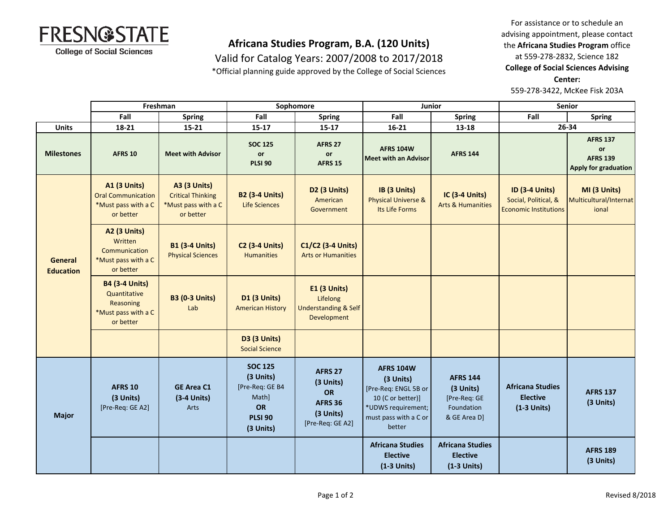

Valid for Catalog Years: 2007/2008 to 2017/2018

\*Official planning guide approved by the College of Social Sciences

For assistance or to schedule an advising appointment, please contact the **Africana Studies Program** office at 559-278-2832, Science 182 **College of Social Sciences Advising Center:** 

559-278-3422, McKee Fisk 203A

|                             | Freshman<br>Sophomore                                                                  |                                                                                     | Junior                                                                                       |                                                                                      | Senior                                                                                                                              |                                                                            |                                                                               |                                                                  |
|-----------------------------|----------------------------------------------------------------------------------------|-------------------------------------------------------------------------------------|----------------------------------------------------------------------------------------------|--------------------------------------------------------------------------------------|-------------------------------------------------------------------------------------------------------------------------------------|----------------------------------------------------------------------------|-------------------------------------------------------------------------------|------------------------------------------------------------------|
|                             | Fall                                                                                   | <b>Spring</b>                                                                       | Fall                                                                                         | <b>Spring</b>                                                                        | Fall                                                                                                                                | <b>Spring</b>                                                              | Fall                                                                          | <b>Spring</b>                                                    |
| <b>Units</b>                | 18-21                                                                                  | 15-21                                                                               | $15 - 17$                                                                                    | $15 - 17$                                                                            | $16 - 21$                                                                                                                           | 13-18                                                                      |                                                                               | 26-34                                                            |
| <b>Milestones</b>           | <b>AFRS 10</b>                                                                         | <b>Meet with Advisor</b>                                                            | <b>SOC 125</b><br>or<br><b>PLSI 90</b>                                                       | <b>AFRS 27</b><br>or<br><b>AFRS 15</b>                                               | <b>AFRS 104W</b><br><b>Meet with an Advisor</b>                                                                                     | <b>AFRS 144</b>                                                            |                                                                               | <b>AFRS 137</b><br>or<br><b>AFRS 139</b><br>Apply for graduation |
| General<br><b>Education</b> | <b>A1 (3 Units)</b><br><b>Oral Communication</b><br>*Must pass with a C<br>or better   | <b>A3 (3 Units)</b><br><b>Critical Thinking</b><br>*Must pass with a C<br>or better | <b>B2 (3-4 Units)</b><br>Life Sciences                                                       | D2 (3 Units)<br>American<br>Government                                               | IB (3 Units)<br><b>Physical Universe &amp;</b><br>Its Life Forms                                                                    | <b>IC (3-4 Units)</b><br><b>Arts &amp; Humanities</b>                      | <b>ID (3-4 Units)</b><br>Social, Political, &<br><b>Economic Institutions</b> | MI (3 Units)<br>Multicultural/Internat<br>ional                  |
|                             | <b>A2 (3 Units)</b><br>Written<br>Communication<br>*Must pass with a C<br>or better    | <b>B1 (3-4 Units)</b><br><b>Physical Sciences</b>                                   | <b>C2 (3-4 Units)</b><br><b>Humanities</b>                                                   | C1/C2 (3-4 Units)<br><b>Arts or Humanities</b>                                       |                                                                                                                                     |                                                                            |                                                                               |                                                                  |
|                             | <b>B4 (3-4 Units)</b><br>Quantitative<br>Reasoning<br>*Must pass with a C<br>or better | <b>B3 (0-3 Units)</b><br>Lab                                                        | <b>D1 (3 Units)</b><br><b>American History</b>                                               | <b>E1 (3 Units)</b><br>Lifelong<br><b>Understanding &amp; Self</b><br>Development    |                                                                                                                                     |                                                                            |                                                                               |                                                                  |
|                             |                                                                                        |                                                                                     | <b>D3 (3 Units)</b><br><b>Social Science</b>                                                 |                                                                                      |                                                                                                                                     |                                                                            |                                                                               |                                                                  |
| <b>Major</b>                | <b>AFRS 10</b><br>(3 Units)<br>[Pre-Req: GE A2]                                        | <b>GE Area C1</b><br>(3-4 Units)<br>Arts                                            | <b>SOC 125</b><br>(3 Units)<br>[Pre-Req: GE B4<br>Math]<br>OR<br><b>PLSI 90</b><br>(3 Units) | <b>AFRS 27</b><br>(3 Units)<br>OR<br><b>AFRS 36</b><br>(3 Units)<br>[Pre-Req: GE A2] | <b>AFRS 104W</b><br>(3 Units)<br>[Pre-Req: ENGL 5B or<br>10 (C or better)]<br>*UDWS requirement;<br>must pass with a C or<br>better | <b>AFRS 144</b><br>(3 Units)<br>[Pre-Req: GE<br>Foundation<br>& GE Area D] | <b>Africana Studies</b><br><b>Elective</b><br>$(1-3$ Units)                   | <b>AFRS 137</b><br>(3 Units)                                     |
|                             |                                                                                        |                                                                                     |                                                                                              |                                                                                      | <b>Africana Studies</b><br><b>Elective</b><br>$(1-3$ Units)                                                                         | <b>Africana Studies</b><br><b>Elective</b><br>$(1-3$ Units)                |                                                                               | <b>AFRS 189</b><br>(3 Units)                                     |